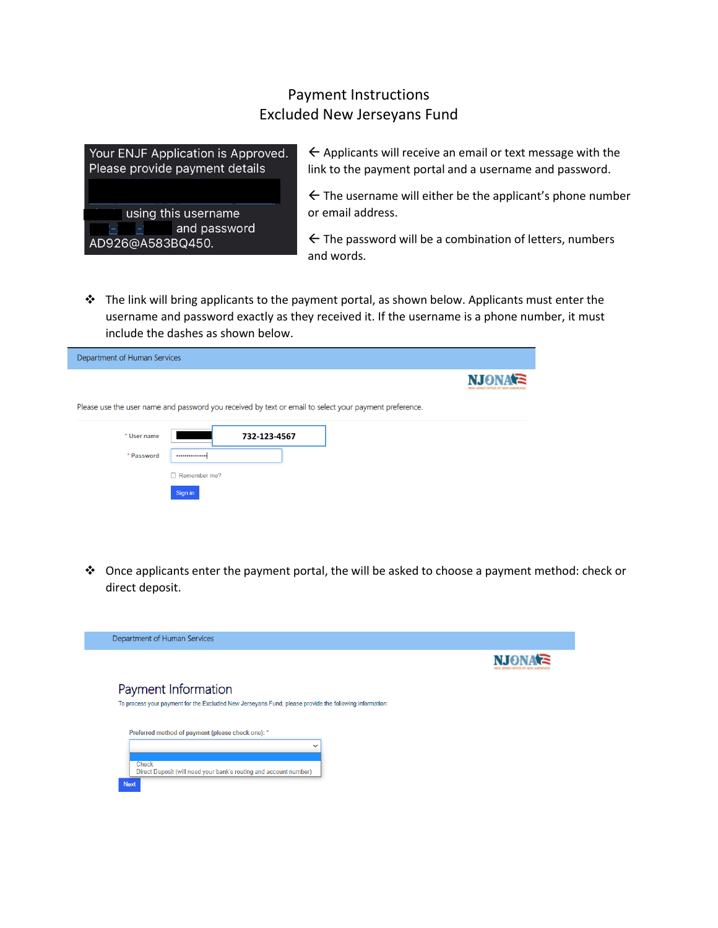## Payment Instructions Excluded New Jerseyans Fund



 $\leftarrow$  Applicants will receive an email or text message with the link to the payment portal and a username and password.

 $\leftarrow$  The username will either be the applicant's phone number or email address.

 $\leftarrow$  The password will be a combination of letters, numbers and words.

 $\cdot \cdot$  The link will bring applicants to the payment portal, as shown below. Applicants must enter the username and password exactly as they received it. If the username is a phone number, it must include the dashes as shown below.

| Department of Human Services |                                                                                                        |               |
|------------------------------|--------------------------------------------------------------------------------------------------------|---------------|
|                              |                                                                                                        | <b>NIONAE</b> |
|                              | Please use the user name and password you received by text or email to select your payment preference. |               |
| * User name                  | 732-123-4567                                                                                           |               |
| * Password                   |                                                                                                        |               |
|                              | $\Box$ Remember me?                                                                                    |               |
|                              | Sign in                                                                                                |               |

 $\div$  Once applicants enter the payment portal, the will be asked to choose a payment method: check or direct deposit.

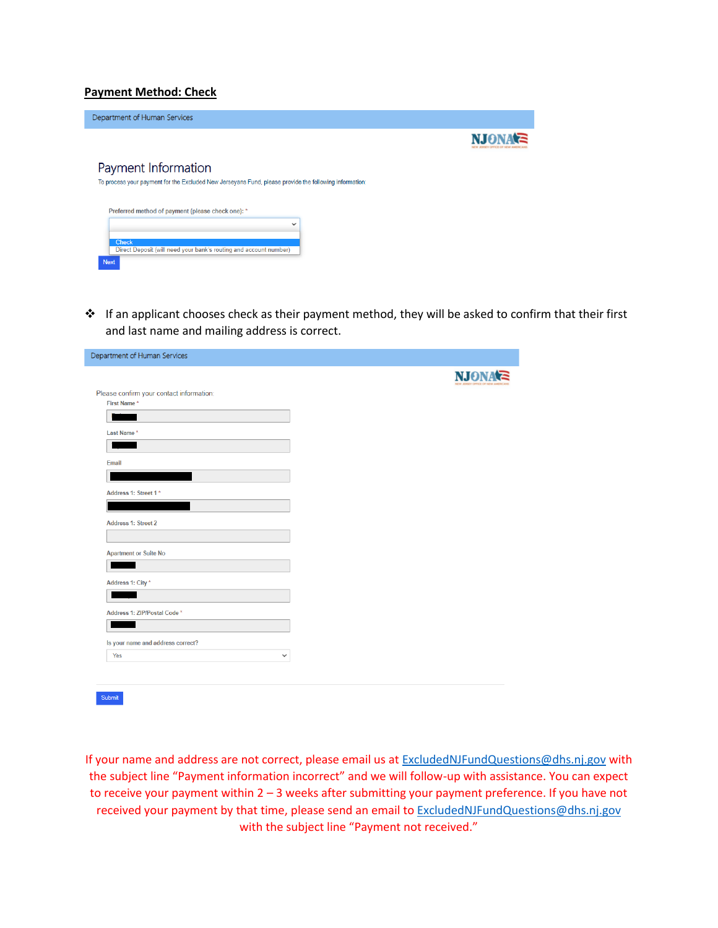## **Payment Method: Check**

I

| <b>NJONA'S</b> |
|----------------|
|                |
|                |
|                |
|                |
|                |
|                |
|                |

\* If an applicant chooses check as their payment method, they will be asked to confirm that their first and last name and mailing address is correct.

| Department of Human Services             |     |
|------------------------------------------|-----|
|                                          | NJ6 |
| Please confirm your contact information: |     |
| First Name*                              |     |
|                                          |     |
| Last Name*                               |     |
|                                          |     |
| Email                                    |     |
|                                          |     |
| Address 1: Street 1*                     |     |
|                                          |     |
|                                          |     |
| <b>Address 1: Street 2</b>               |     |
|                                          |     |
| <b>Apartment or Suite No</b>             |     |
|                                          |     |
| Address 1: City *                        |     |
|                                          |     |
|                                          |     |
| Address 1: ZIP/Postal Code *             |     |
|                                          |     |
| Is your name and address correct?        |     |
| Yes<br>$\checkmark$                      |     |
|                                          |     |
|                                          |     |

If your name and address are not correct, please email us at [ExcludedNJFundQuestions@dhs.nj.gov](mailto:ExcludedNJFundQuestions@dhs.nj.gov) with the subject line "Payment information incorrect" and we will follow-up with assistance. You can expect to receive your payment within 2 – 3 weeks after submitting your payment preference. If you have not received your payment by that time, please send an email to [ExcludedNJFundQuestions@dhs.nj.gov](mailto:ExcludedNJFundQuestions@dhs.nj.gov) with the subject line "Payment not received."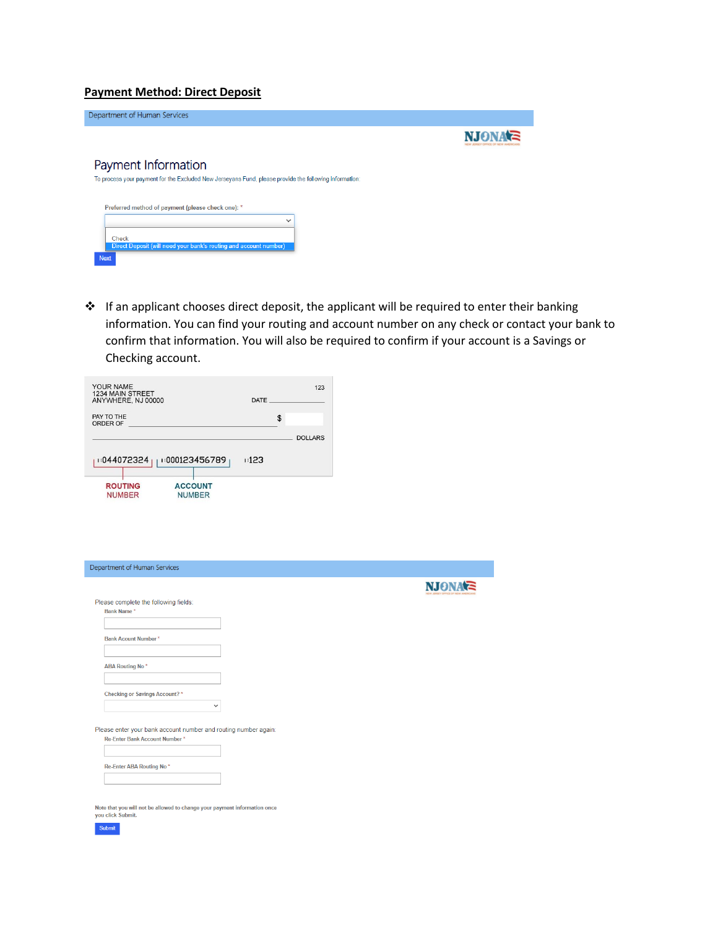## **Payment Method: Direct Deposit**

| Department of Human Services                                                                           |                          |
|--------------------------------------------------------------------------------------------------------|--------------------------|
|                                                                                                        | <b>NIONAE</b><br>------- |
| Payment Information                                                                                    |                          |
| To process your payment for the Excluded New Jerseyans Fund, please provide the following information: |                          |
|                                                                                                        |                          |
| Preferred method of payment (please check one): *<br>$\checkmark$                                      |                          |
| Check                                                                                                  |                          |
| Direct Deposit (will need your bank's routing and account number)                                      |                          |
| <b>Next</b>                                                                                            |                          |

❖ If an applicant chooses direct deposit, the applicant will be required to enter their banking information. You can find your routing and account number on any check or contact your bank to confirm that information. You will also be required to confirm if your account is a Savings or Checking account.

| YOUR NAME<br>1234 MAIN STREET<br>ANYWHERE, NJ 00000 |                                 | DATE | 123            |
|-----------------------------------------------------|---------------------------------|------|----------------|
| PAY TO THE<br>ORDER OF                              |                                 |      | \$             |
|                                                     |                                 |      | <b>DOLLARS</b> |
| 1:044072324                                         | 000123456789                    | 123  |                |
| <b>ROUTING</b><br><b>NUMBER</b>                     | <b>ACCOUNT</b><br><b>NUMBER</b> |      |                |

| Please complete the following fields:                           |  |
|-----------------------------------------------------------------|--|
| Bank Name*                                                      |  |
|                                                                 |  |
| <b>Bank Acount Number*</b>                                      |  |
|                                                                 |  |
| <b>ABA Routing No*</b>                                          |  |
|                                                                 |  |
| Checking or Savings Account?*                                   |  |
| $\check{~}$                                                     |  |
|                                                                 |  |
| Please enter your bank account number and routing number again: |  |
| Re-Enter Bank Account Number*                                   |  |
|                                                                 |  |
| Re-Enter ABA Routing No*                                        |  |
|                                                                 |  |
|                                                                 |  |